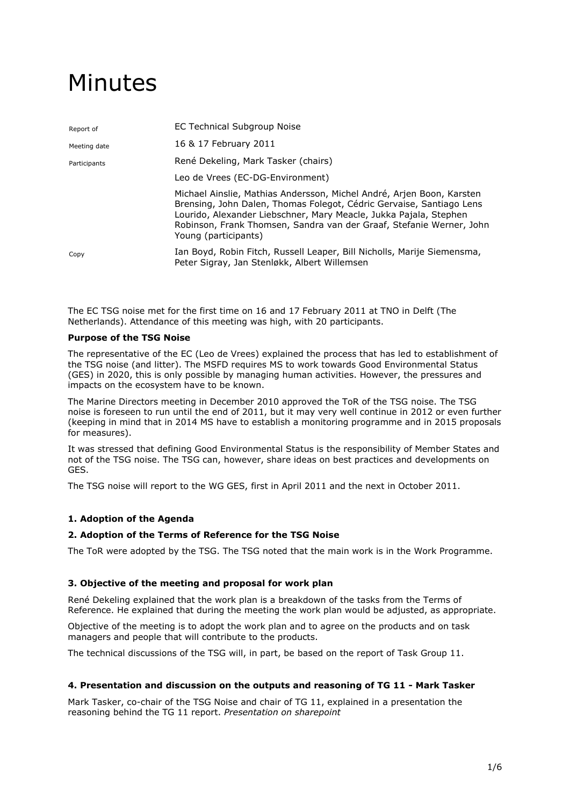# Minutes

| Report of    | EC Technical Subgroup Noise                                                                                                                                                                                                                                                                                        |
|--------------|--------------------------------------------------------------------------------------------------------------------------------------------------------------------------------------------------------------------------------------------------------------------------------------------------------------------|
| Meeting date | 16 & 17 February 2011                                                                                                                                                                                                                                                                                              |
| Participants | René Dekeling, Mark Tasker (chairs)                                                                                                                                                                                                                                                                                |
|              | Leo de Vrees (EC-DG-Environment)                                                                                                                                                                                                                                                                                   |
|              | Michael Ainslie, Mathias Andersson, Michel André, Arjen Boon, Karsten<br>Brensing, John Dalen, Thomas Folegot, Cédric Gervaise, Santiago Lens<br>Lourido, Alexander Liebschner, Mary Meacle, Jukka Pajala, Stephen<br>Robinson, Frank Thomsen, Sandra van der Graaf, Stefanie Werner, John<br>Young (participants) |
| Copy         | Ian Boyd, Robin Fitch, Russell Leaper, Bill Nicholls, Marije Siemensma,<br>Peter Sigray, Jan Stenløkk, Albert Willemsen                                                                                                                                                                                            |

The EC TSG noise met for the first time on 16 and 17 February 2011 at TNO in Delft (The Netherlands). Attendance of this meeting was high, with 20 participants.

## **Purpose of the TSG Noise**

The representative of the EC (Leo de Vrees) explained the process that has led to establishment of the TSG noise (and litter). The MSFD requires MS to work towards Good Environmental Status (GES) in 2020, this is only possible by managing human activities. However, the pressures and impacts on the ecosystem have to be known.

The Marine Directors meeting in December 2010 approved the ToR of the TSG noise. The TSG noise is foreseen to run until the end of 2011, but it may very well continue in 2012 or even further (keeping in mind that in 2014 MS have to establish a monitoring programme and in 2015 proposals for measures).

It was stressed that defining Good Environmental Status is the responsibility of Member States and not of the TSG noise. The TSG can, however, share ideas on best practices and developments on GES.

The TSG noise will report to the WG GES, first in April 2011 and the next in October 2011.

# **1. Adoption of the Agenda**

## **2. Adoption of the Terms of Reference for the TSG Noise**

The ToR were adopted by the TSG. The TSG noted that the main work is in the Work Programme.

## **3. Objective of the meeting and proposal for work plan**

René Dekeling explained that the work plan is a breakdown of the tasks from the Terms of Reference. He explained that during the meeting the work plan would be adjusted, as appropriate.

Objective of the meeting is to adopt the work plan and to agree on the products and on task managers and people that will contribute to the products.

The technical discussions of the TSG will, in part, be based on the report of Task Group 11.

# **4. Presentation and discussion on the outputs and reasoning of TG 11 - Mark Tasker**

Mark Tasker, co-chair of the TSG Noise and chair of TG 11, explained in a presentation the reasoning behind the TG 11 report. *Presentation on sharepoint*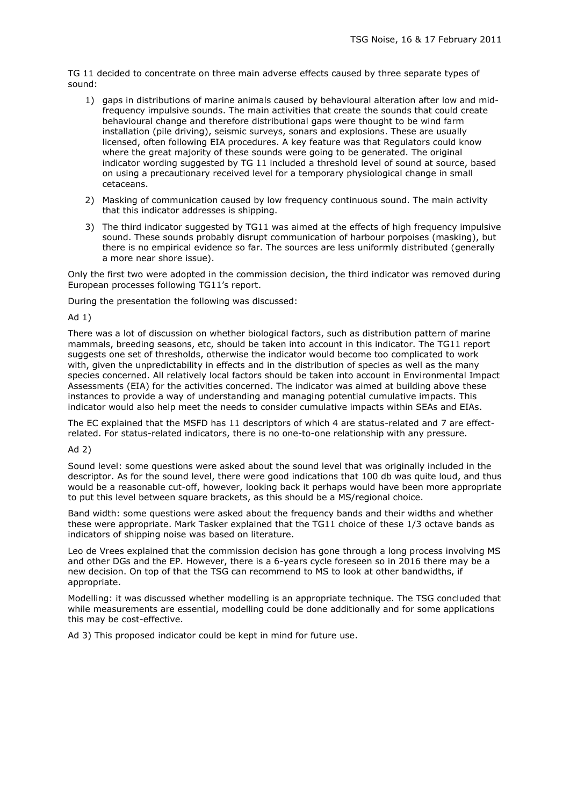TG 11 decided to concentrate on three main adverse effects caused by three separate types of sound:

- 1) gaps in distributions of marine animals caused by behavioural alteration after low and midfrequency impulsive sounds. The main activities that create the sounds that could create behavioural change and therefore distributional gaps were thought to be wind farm installation (pile driving), seismic surveys, sonars and explosions. These are usually licensed, often following EIA procedures. A key feature was that Regulators could know where the great majority of these sounds were going to be generated. The original indicator wording suggested by TG 11 included a threshold level of sound at source, based on using a precautionary received level for a temporary physiological change in small cetaceans.
- 2) Masking of communication caused by low frequency continuous sound. The main activity that this indicator addresses is shipping.
- 3) The third indicator suggested by TG11 was aimed at the effects of high frequency impulsive sound. These sounds probably disrupt communication of harbour porpoises (masking), but there is no empirical evidence so far. The sources are less uniformly distributed (generally a more near shore issue).

Only the first two were adopted in the commission decision, the third indicator was removed during European processes following TG11's report.

During the presentation the following was discussed:

Ad 1)

There was a lot of discussion on whether biological factors, such as distribution pattern of marine mammals, breeding seasons, etc, should be taken into account in this indicator. The TG11 report suggests one set of thresholds, otherwise the indicator would become too complicated to work with, given the unpredictability in effects and in the distribution of species as well as the many species concerned. All relatively local factors should be taken into account in Environmental Impact Assessments (EIA) for the activities concerned. The indicator was aimed at building above these instances to provide a way of understanding and managing potential cumulative impacts. This indicator would also help meet the needs to consider cumulative impacts within SEAs and EIAs.

The EC explained that the MSFD has 11 descriptors of which 4 are status-related and 7 are effectrelated. For status-related indicators, there is no one-to-one relationship with any pressure.

Ad 2)

Sound level: some questions were asked about the sound level that was originally included in the descriptor. As for the sound level, there were good indications that 100 db was quite loud, and thus would be a reasonable cut-off, however, looking back it perhaps would have been more appropriate to put this level between square brackets, as this should be a MS/regional choice.

Band width: some questions were asked about the frequency bands and their widths and whether these were appropriate. Mark Tasker explained that the TG11 choice of these 1/3 octave bands as indicators of shipping noise was based on literature.

Leo de Vrees explained that the commission decision has gone through a long process involving MS and other DGs and the EP. However, there is a 6-years cycle foreseen so in 2016 there may be a new decision. On top of that the TSG can recommend to MS to look at other bandwidths, if appropriate.

Modelling: it was discussed whether modelling is an appropriate technique. The TSG concluded that while measurements are essential, modelling could be done additionally and for some applications this may be cost-effective.

Ad 3) This proposed indicator could be kept in mind for future use.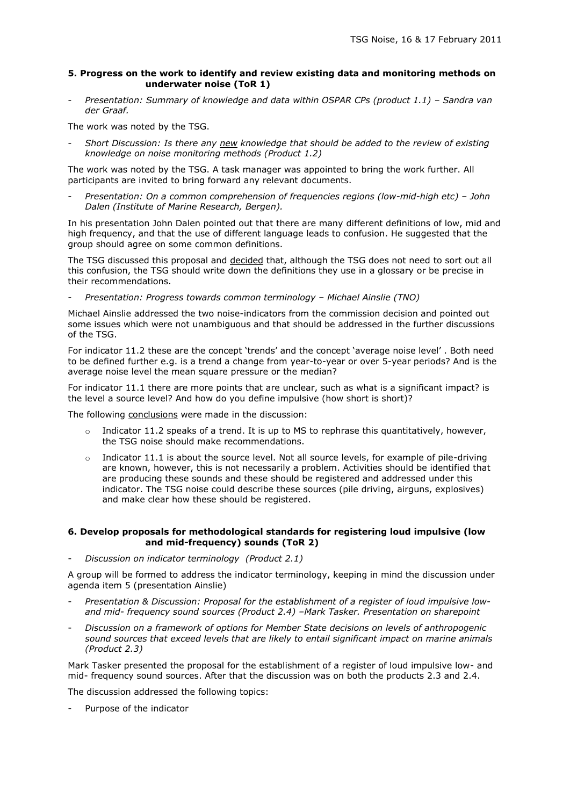## **5. Progress on the work to identify and review existing data and monitoring methods on underwater noise (ToR 1)**

*Presentation: Summary of knowledge and data within OSPAR CPs (product 1.1) - Sandra van der Graaf.*

The work was noted by the TSG.

- *Short Discussion: Is there any new knowledge that should be added to the review of existing knowledge on noise monitoring methods (Product 1.2)*

The work was noted by the TSG. A task manager was appointed to bring the work further. All participants are invited to bring forward any relevant documents.

- *Presentation: On a common comprehension of frequencies regions (low-mid-high etc) – John Dalen (Institute of Marine Research, Bergen).*

In his presentation John Dalen pointed out that there are many different definitions of low, mid and high frequency, and that the use of different language leads to confusion. He suggested that the group should agree on some common definitions.

The TSG discussed this proposal and decided that, although the TSG does not need to sort out all this confusion, the TSG should write down the definitions they use in a glossary or be precise in their recommendations.

- *Presentation: Progress towards common terminology – Michael Ainslie (TNO)*

Michael Ainslie addressed the two noise-indicators from the commission decision and pointed out some issues which were not unambiguous and that should be addressed in the further discussions of the TSG.

For indicator 11.2 these are the concept 'trends' and the concept 'average noise level' . Both need to be defined further e.g. is a trend a change from year-to-year or over 5-year periods? And is the average noise level the mean square pressure or the median?

For indicator 11.1 there are more points that are unclear, such as what is a significant impact? is the level a source level? And how do you define impulsive (how short is short)?

The following conclusions were made in the discussion:

- o Indicator 11.2 speaks of a trend. It is up to MS to rephrase this quantitatively, however, the TSG noise should make recommendations.
- $\circ$  Indicator 11.1 is about the source level. Not all source levels, for example of pile-driving are known, however, this is not necessarily a problem. Activities should be identified that are producing these sounds and these should be registered and addressed under this indicator. The TSG noise could describe these sources (pile driving, airguns, explosives) and make clear how these should be registered.

## **6. Develop proposals for methodological standards for registering loud impulsive (low and mid-frequency) sounds (ToR 2)**

- *Discussion on indicator terminology (Product 2.1)*

A group will be formed to address the indicator terminology, keeping in mind the discussion under agenda item 5 (presentation Ainslie)

- *Presentation & Discussion: Proposal for the establishment of a register of loud impulsive lowand mid- frequency sound sources (Product 2.4) –Mark Tasker. Presentation on sharepoint*
- *Discussion on a framework of options for Member State decisions on levels of anthropogenic sound sources that exceed levels that are likely to entail significant impact on marine animals (Product 2.3)*

Mark Tasker presented the proposal for the establishment of a register of loud impulsive low- and mid- frequency sound sources. After that the discussion was on both the products 2.3 and 2.4.

The discussion addressed the following topics:

Purpose of the indicator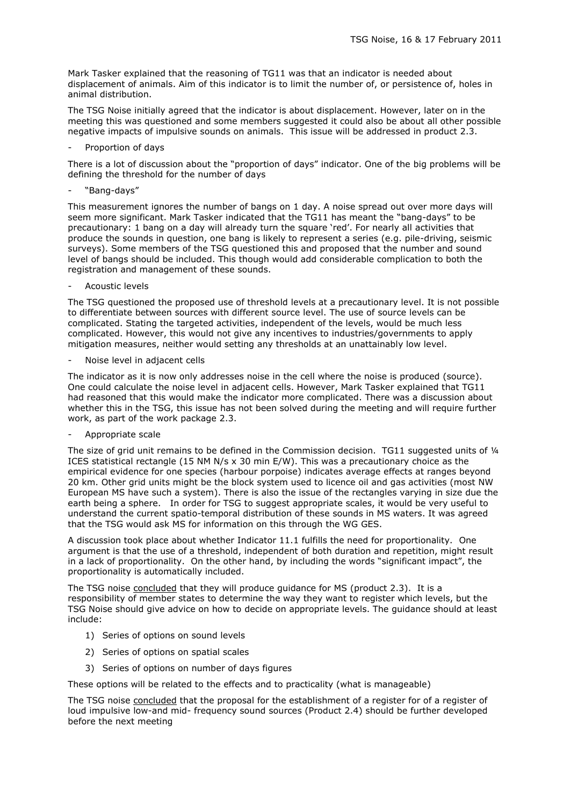Mark Tasker explained that the reasoning of TG11 was that an indicator is needed about displacement of animals. Aim of this indicator is to limit the number of, or persistence of, holes in animal distribution.

The TSG Noise initially agreed that the indicator is about displacement. However, later on in the meeting this was questioned and some members suggested it could also be about all other possible negative impacts of impulsive sounds on animals. This issue will be addressed in product 2.3.

Proportion of days

There is a lot of discussion about the "proportion of days" indicator. One of the big problems will be defining the threshold for the number of days

- "Bang-days"

This measurement ignores the number of bangs on 1 day. A noise spread out over more days will seem more significant. Mark Tasker indicated that the TG11 has meant the "bang-days" to be precautionary: 1 bang on a day will already turn the square 'red'. For nearly all activities that produce the sounds in question, one bang is likely to represent a series (e.g. pile-driving, seismic surveys). Some members of the TSG questioned this and proposed that the number and sound level of bangs should be included. This though would add considerable complication to both the registration and management of these sounds.

Acoustic levels

The TSG questioned the proposed use of threshold levels at a precautionary level. It is not possible to differentiate between sources with different source level. The use of source levels can be complicated. Stating the targeted activities, independent of the levels, would be much less complicated. However, this would not give any incentives to industries/governments to apply mitigation measures, neither would setting any thresholds at an unattainably low level.

Noise level in adjacent cells

The indicator as it is now only addresses noise in the cell where the noise is produced (source). One could calculate the noise level in adjacent cells. However, Mark Tasker explained that TG11 had reasoned that this would make the indicator more complicated. There was a discussion about whether this in the TSG, this issue has not been solved during the meeting and will require further work, as part of the work package 2.3.

Appropriate scale

The size of grid unit remains to be defined in the Commission decision. TG11 suggested units of 1/4 ICES statistical rectangle (15 NM N/s x 30 min E/W). This was a precautionary choice as the empirical evidence for one species (harbour porpoise) indicates average effects at ranges beyond 20 km. Other grid units might be the block system used to licence oil and gas activities (most NW European MS have such a system). There is also the issue of the rectangles varying in size due the earth being a sphere. In order for TSG to suggest appropriate scales, it would be very useful to understand the current spatio-temporal distribution of these sounds in MS waters. It was agreed that the TSG would ask MS for information on this through the WG GES.

A discussion took place about whether Indicator 11.1 fulfills the need for proportionality. One argument is that the use of a threshold, independent of both duration and repetition, might result in a lack of proportionality. On the other hand, by including the words "significant impact", the proportionality is automatically included.

The TSG noise concluded that they will produce guidance for MS (product 2.3). It is a responsibility of member states to determine the way they want to register which levels, but the TSG Noise should give advice on how to decide on appropriate levels. The guidance should at least include:

- 1) Series of options on sound levels
- 2) Series of options on spatial scales
- 3) Series of options on number of days figures

These options will be related to the effects and to practicality (what is manageable)

The TSG noise concluded that the proposal for the establishment of a register for of a register of loud impulsive low-and mid- frequency sound sources (Product 2.4) should be further developed before the next meeting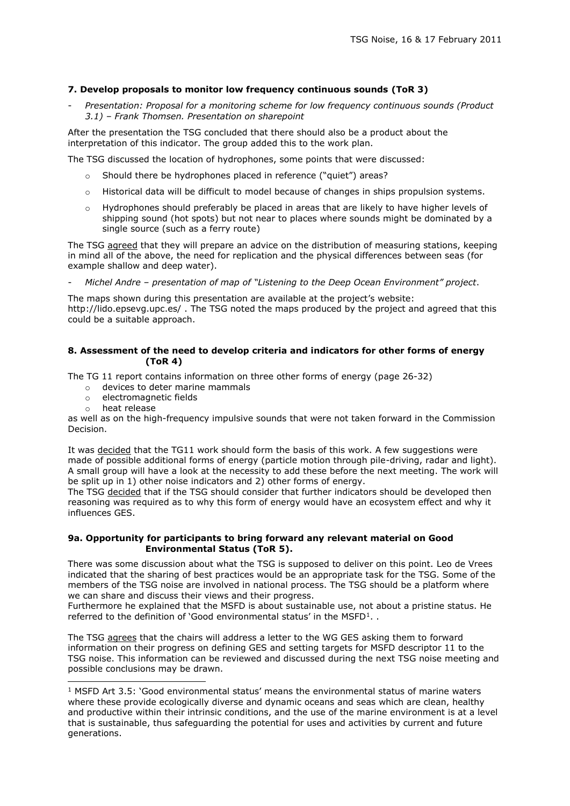## **7. Develop proposals to monitor low frequency continuous sounds (ToR 3)**

- *Presentation: Proposal for a monitoring scheme for low frequency continuous sounds (Product 3.1) – Frank Thomsen. Presentation on sharepoint*

After the presentation the TSG concluded that there should also be a product about the interpretation of this indicator. The group added this to the work plan.

The TSG discussed the location of hydrophones, some points that were discussed:

- o Should there be hydrophones placed in reference ("quiet") areas?
- o Historical data will be difficult to model because of changes in ships propulsion systems.
- o Hydrophones should preferably be placed in areas that are likely to have higher levels of shipping sound (hot spots) but not near to places where sounds might be dominated by a single source (such as a ferry route)

The TSG agreed that they will prepare an advice on the distribution of measuring stations, keeping in mind all of the above, the need for replication and the physical differences between seas (for example shallow and deep water).

- *Michel Andre – presentation of map of "Listening to the Deep Ocean Environment" project*.

The maps shown during this presentation are available at the project's website:

http://lido.epsevg.upc.es/ . The TSG noted the maps produced by the project and agreed that this could be a suitable approach.

## **8. Assessment of the need to develop criteria and indicators for other forms of energy (ToR 4)**

The TG 11 report contains information on three other forms of energy (page 26-32)

- o devices to deter marine mammals
- o electromagnetic fields
- o heat release

ł

as well as on the high-frequency impulsive sounds that were not taken forward in the Commission Decision.

It was decided that the TG11 work should form the basis of this work. A few suggestions were made of possible additional forms of energy (particle motion through pile-driving, radar and light). A small group will have a look at the necessity to add these before the next meeting. The work will be split up in 1) other noise indicators and 2) other forms of energy.

The TSG decided that if the TSG should consider that further indicators should be developed then reasoning was required as to why this form of energy would have an ecosystem effect and why it influences GES.

#### **9a. Opportunity for participants to bring forward any relevant material on Good Environmental Status (ToR 5).**

There was some discussion about what the TSG is supposed to deliver on this point. Leo de Vrees indicated that the sharing of best practices would be an appropriate task for the TSG. Some of the members of the TSG noise are involved in national process. The TSG should be a platform where we can share and discuss their views and their progress.

Furthermore he explained that the MSFD is about sustainable use, not about a pristine status. He referred to the definition of 'Good environmental status' in the MSFD<sup>1</sup>..

The TSG agrees that the chairs will address a letter to the WG GES asking them to forward information on their progress on defining GES and setting targets for MSFD descriptor 11 to the TSG noise. This information can be reviewed and discussed during the next TSG noise meeting and possible conclusions may be drawn.

 $1$  MSFD Art 3.5: 'Good environmental status' means the environmental status of marine waters where these provide ecologically diverse and dynamic oceans and seas which are clean, healthy and productive within their intrinsic conditions, and the use of the marine environment is at a level that is sustainable, thus safeguarding the potential for uses and activities by current and future generations.